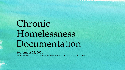# Chronic Homelessness Documentation

September 22, 2021 Information taken from a HUD webinar on Chronic Homelessness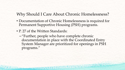## Why Should I Care About Chronic Homelessness?

- Documentation of Chronic Homelessness is required for Permanent Supportive Housing (PSH) programs.
- P. 27 of the Written Standards:

THE R. P. LEWIS CO., LANSING MICH.

–"Further, people who have complete chronic documentation in place with the Coordinated Entry System Manager are prioritized for openings in PSH programs."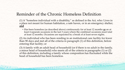# Reminder of the Chronic Homeless Definition

(1) A "homeless individual with a disability," as defined in the Act, who: Lives in a place not meant for human habitation, a safe haven, or in an emergency shelter; **and**

• Has been homeless (as described above) continuously for at least 12 months **or** on at least 4 separate occasions in the last 3 years where the combined occasions must total at least 12 months. Occasions are separated by a break of at least seven nights.

(2) An individual who has been residing in an institutional care facility for fewer than 90 days and met all of the criteria in paragraph (1) of this definition, before entering that facility; or

(3) A family with an adult head of household (or if there is no adult in the family, a minor head of household) who meets all of the criteria in paragraphs (1) or (2) of this definition, including a family whose composition has fluctuated while the head of household has been homeless.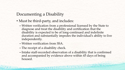### Documenting a Disability

- Must be third-party, and includes:
	- Written verification from a professional licensed by the State to diagnose and treat the disability and certification that the disability is expected to be of long-continued and indefinite duration and substantially impedes the individual's ability to live independently.
	- Written verification from SSA.

**CONTRACTOR ENERGY A PAINT AT EXITS** 

- The receipt of a disability check.
- Intake staff-recorded observation of a disability that is confirmed and accompanied by evidence above within 45 days of being housed.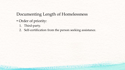# Documenting Length of Homelessness

• Order of priority:

- 1. Third-party.
- 2. Self-certification from the person seeking assistance.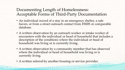## Documenting Length of Homelessness: Acceptable Forms of Third-Party Documentation

- An individual record of a stay in an emergency shelter, a safe haven, or from a street outreach contact from HMIS or comparable database.
- A written observation by an outreach worker or intake worker of encounters with the individual or head of household that includes a description of the conditions where the individual or head of household was living or is currently living.
- A written observation by a community member that has observed where the individual or head of household was living or is currently living.
- A written referral by another housing or service provider.

man on containing a with Library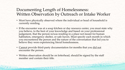#### Documenting Length of Homelessness: Written Observation by Outreach or Intake Worker

- Must have physically observed where the individual or head of household is currently residing.
- If the encounter was at a soup kitchen or day resource center, you must state why you believe, to the best of your knowledge and based on your professional judgement, that the person is/was residing in a place not meant for human habitation, emergency shelter, or safe haven. Must specify each month in which you encountered the person and the nature of the conversation that led you to believe they were experiencing literal homelessness.
- Cannot provide third-party documentation for months that you did not encounter the person.
- Written observation should be on letterhead, should be signed by the staff member and contain their title.

**NAME OF THE OWNER OF STRAIGHT AND INCOME.**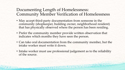### Documenting Length of Homelessness: Community Member Verification of Homelessness

- May accept third-party documentation from someone in the community (shopkeeper, building owner, neighborhood resident) that has physically observed where the person has been residing.
- Prefer the community member provide written observation that indicates which months they have seen the person.
- Can take oral documentation from the community member, but the intake worker must write it down.
- Intake worker must use professional judgement as to the reliability of the source.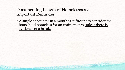#### Documenting Length of Homelessness: Important Reminder!

LOCAL COMMANDERS CROSSOFIE AND LOCAL COMMANDERS

• A single encounter in a month is sufficient to consider the household homeless for an entire month unless there is evidence of a break.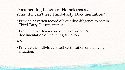### Documenting Length of Homelessness: What if I Can't Get Third-Party Documentation?

- Provide a written record of your due diligence to obtain Third-Party Documentation.
- Provide a written record of intake worker's documentation of the living situation.

of the house of the search of the search of the season of the season of the season of the season of the season

#### **AND**

• Provide the individual's self-certification of the living situation.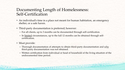#### Documenting Length of Homelessness: Self-Certification

- An individual's time in a place not meant for human habitation, an emergency shelter, or a safe haven.
- Third-party documentation is preferred; however:

**CONTINUES OF STREET AND RESERVE AND RESERVE** 

- For all clients, up to 3 months can be documented through self-certification.
- In limited circumstances, up to the full 12 months can be obtained through selfcertification.
- Must provide:
	- Thorough documentation of attempts to obtain third-party documentation and why third-party documentation was not obtained.
	- Written certification from individual or head of household of the living situation of the undocumented time period.

**CONTRACTOR**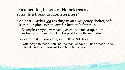#### Documenting Length of Homelessness: What Is a Break in Homelessness?

- At least 7 nights not residing in an emergency shelter, safe haven, or place not meant for human habitation.
	- –Examples: Staying with family/friends, doubled-up, couch surfing, staying in a hotel that is paid for by the individual.
- Stays in institutions of greater than 90 days.

**CONTRACTOR COMMUNICATION** 

– Note: Stays in institutions of less than 90 days do not constitute as a break and count toward total time homeless.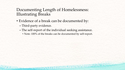### Documenting Length of Homelessness: Illustrating Breaks

- Evidence of a break can be documented by:
	- Third-party evidence.

**START OF START OF A TIME OF PIRE** 

- The self-report of the individual seeking assistance.
	- Note: 100% of the breaks can be documented by self-report.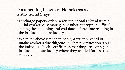#### Documenting Length of Homelessness: Institutional Stays

AT ME UNIVERSITY OF LEAD

- Discharge paperwork or a written or oral referral from a social worker, case manager, or other appropriate official stating the beginning and end dates of the time residing in the institutional care facility.
- When the above is not attainable, a written record of intake worker's due diligence to obtain verification **AND** the individual's self-certification that they are exiting an institutional care facility where they resided for less than 90 days.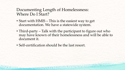#### Documenting Length of Homelessness: Where Do I Start?

- Start with HMIS This is the easiest way to get documentation. We have a statewide system.
- Third-party Talk with the participant to figure out who may have known of their homelessness and will be able to document it.
- Self-certification should be the last resort.

THE R. P. LEWIS CO., LANSING MICH.